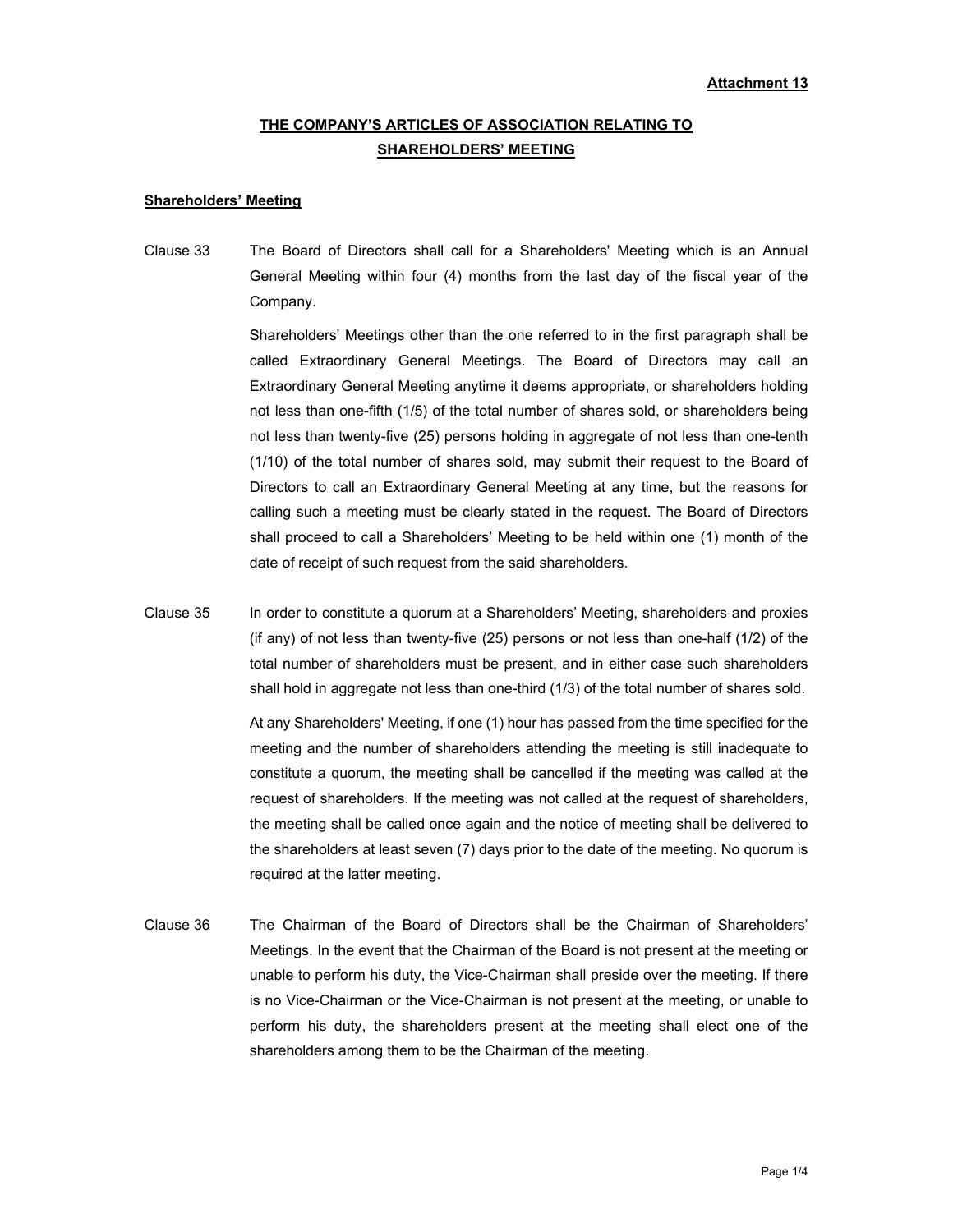# **THE COMPANY'S ARTICLES OF ASSOCIATION RELATING TO SHAREHOLDERS' MEETING**

### **Shareholders' Meeting**

Clause 33 The Board of Directors shall call for a Shareholders' Meeting which is an Annual General Meeting within four (4) months from the last day of the fiscal year of the Company.

> Shareholders' Meetings other than the one referred to in the first paragraph shall be called Extraordinary General Meetings. The Board of Directors may call an Extraordinary General Meeting anytime it deems appropriate, or shareholders holding not less than one-fifth (1/5) of the total number of shares sold, or shareholders being not less than twenty-five (25) persons holding in aggregate of not less than one-tenth (1/10) of the total number of shares sold, may submit their request to the Board of Directors to call an Extraordinary General Meeting at any time, but the reasons for calling such a meeting must be clearly stated in the request. The Board of Directors shall proceed to call a Shareholders' Meeting to be held within one (1) month of the date of receipt of such request from the said shareholders.

Clause 35 In order to constitute a quorum at a Shareholders' Meeting, shareholders and proxies (if any) of not less than twenty-five (25) persons or not less than one-half (1/2) of the total number of shareholders must be present, and in either case such shareholders shall hold in aggregate not less than one-third (1/3) of the total number of shares sold.

> At any Shareholders' Meeting, if one (1) hour has passed from the time specified for the meeting and the number of shareholders attending the meeting is still inadequate to constitute a quorum, the meeting shall be cancelled if the meeting was called at the request of shareholders. If the meeting was not called at the request of shareholders, the meeting shall be called once again and the notice of meeting shall be delivered to the shareholders at least seven (7) days prior to the date of the meeting. No quorum is required at the latter meeting.

Clause 36 The Chairman of the Board of Directors shall be the Chairman of Shareholders' Meetings. In the event that the Chairman of the Board is not present at the meeting or unable to perform his duty, the Vice-Chairman shall preside over the meeting. If there is no Vice-Chairman or the Vice-Chairman is not present at the meeting, or unable to perform his duty, the shareholders present at the meeting shall elect one of the shareholders among them to be the Chairman of the meeting.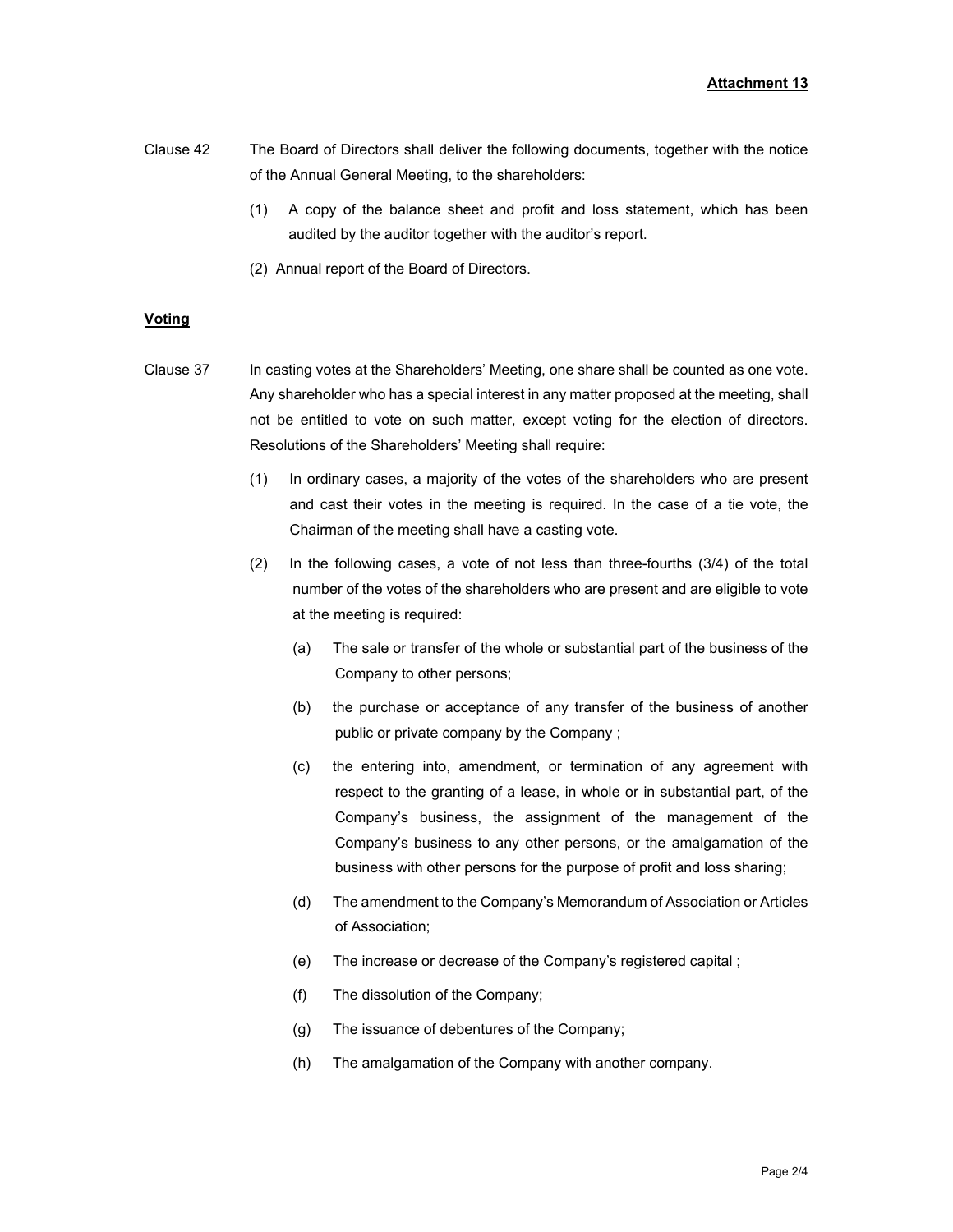- Clause 42 The Board of Directors shall deliver the following documents, together with the notice of the Annual General Meeting, to the shareholders:
	- (1) A copy of the balance sheet and profit and loss statement, which has been audited by the auditor together with the auditor's report.
	- (2) Annual report of the Board of Directors.

## **Voting**

- Clause 37 In casting votes at the Shareholders' Meeting, one share shall be counted as one vote. Any shareholder who has a special interest in any matter proposed at the meeting, shall not be entitled to vote on such matter, except voting for the election of directors. Resolutions of the Shareholders' Meeting shall require:
	- (1) In ordinary cases, a majority of the votes of the shareholders who are present and cast their votes in the meeting is required. In the case of a tie vote, the Chairman of the meeting shall have a casting vote.
	- (2) In the following cases, a vote of not less than three-fourths (3/4) of the total number of the votes of the shareholders who are present and are eligible to vote at the meeting is required:
		- (a) The sale or transfer of the whole or substantial part of the business of the Company to other persons;
		- (b) the purchase or acceptance of any transfer of the business of another public or private company by the Company ;
		- (c) the entering into, amendment, or termination of any agreement with respect to the granting of a lease, in whole or in substantial part, of the Company's business, the assignment of the management of the Company's business to any other persons, or the amalgamation of the business with other persons for the purpose of profit and loss sharing;
		- (d) The amendment to the Company's Memorandum of Association or Articles of Association;
		- (e) The increase or decrease of the Company's registered capital ;
		- (f) The dissolution of the Company;
		- (g) The issuance of debentures of the Company;
		- (h) The amalgamation of the Company with another company.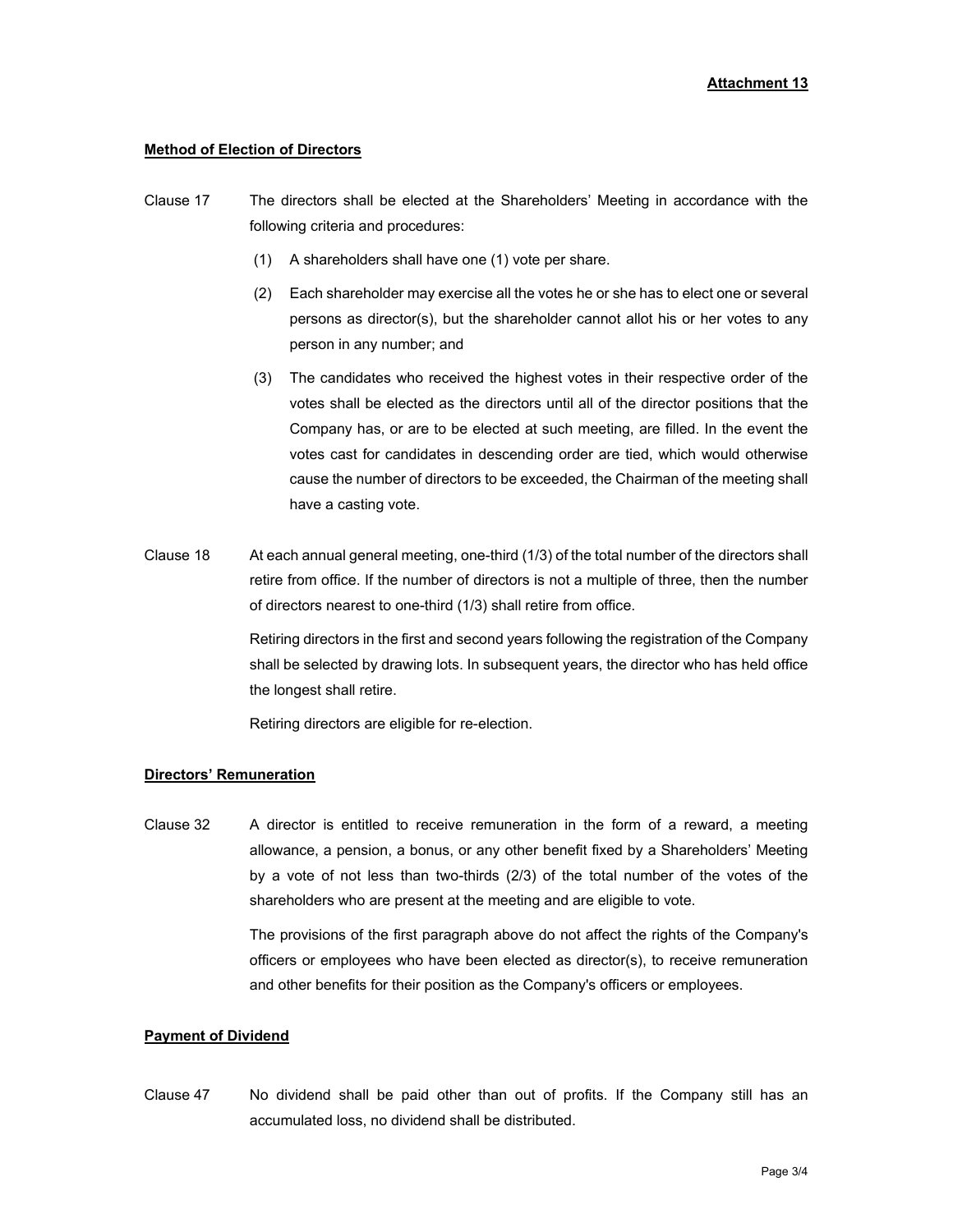## **Method of Election of Directors**

- Clause 17 The directors shall be elected at the Shareholders' Meeting in accordance with the following criteria and procedures:
	- (1) A shareholders shall have one (1) vote per share.
	- (2) Each shareholder may exercise all the votes he or she has to elect one or several persons as director(s), but the shareholder cannot allot his or her votes to any person in any number; and
	- (3) The candidates who received the highest votes in their respective order of the votes shall be elected as the directors until all of the director positions that the Company has, or are to be elected at such meeting, are filled. In the event the votes cast for candidates in descending order are tied, which would otherwise cause the number of directors to be exceeded, the Chairman of the meeting shall have a casting vote.
- Clause 18 At each annual general meeting, one-third (1/3) of the total number of the directors shall retire from office. If the number of directors is not a multiple of three, then the number of directors nearest to one-third (1/3) shall retire from office.

 Retiring directors in the first and second years following the registration of the Company shall be selected by drawing lots. In subsequent years, the director who has held office the longest shall retire.

Retiring directors are eligible for re-election.

## **Directors' Remuneration**

Clause 32 A director is entitled to receive remuneration in the form of a reward, a meeting allowance, a pension, a bonus, or any other benefit fixed by a Shareholders' Meeting by a vote of not less than two-thirds (2/3) of the total number of the votes of the shareholders who are present at the meeting and are eligible to vote.

> The provisions of the first paragraph above do not affect the rights of the Company's officers or employees who have been elected as director(s), to receive remuneration and other benefits for their position as the Company's officers or employees.

### **Payment of Dividend**

Clause 47 No dividend shall be paid other than out of profits. If the Company still has an accumulated loss, no dividend shall be distributed.